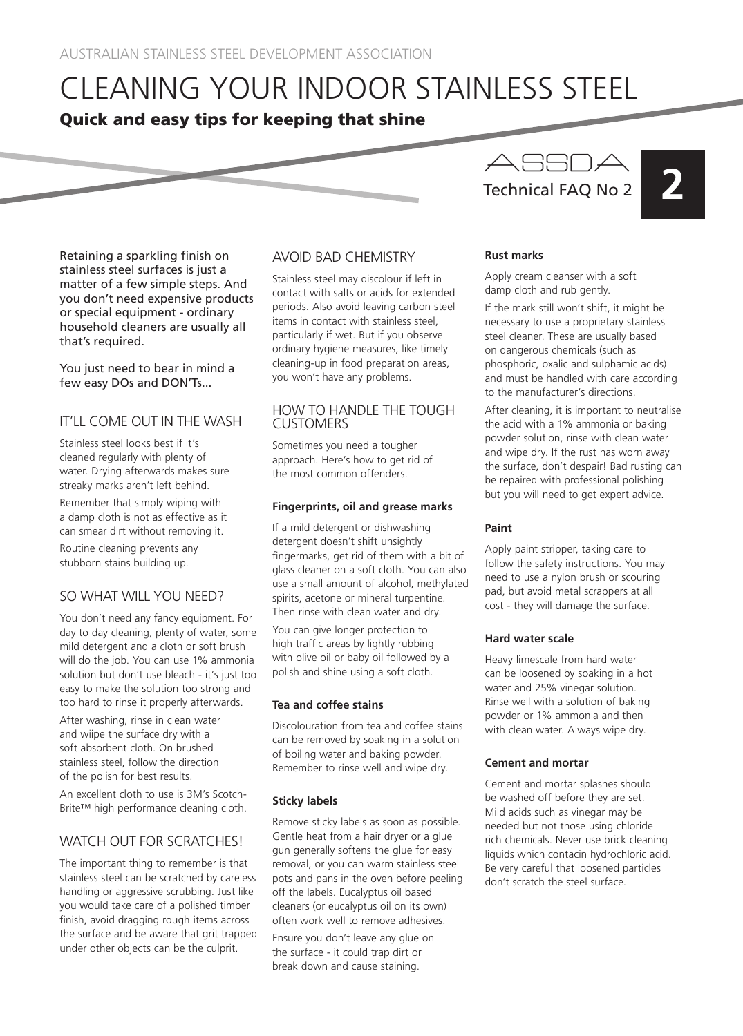# CLEANING YOUR INDOOR STAINLESS STEEL Quick and easy tips for keeping that shine

Retaining a sparkling finish on stainless steel surfaces is just a matter of a few simple steps. And you don't need expensive products or special equipment - ordinary household cleaners are usually all that's required.

You just need to bear in mind a few easy DOs and DON'Ts...

# IT'LL COME OUT IN THE WASH

Stainless steel looks best if it's cleaned regularly with plenty of water. Drying afterwards makes sure streaky marks aren't left behind.

Remember that simply wiping with a damp cloth is not as effective as it can smear dirt without removing it.

Routine cleaning prevents any stubborn stains building up.

# SO WHAT WILL YOU NEED?

You don't need any fancy equipment. For day to day cleaning, plenty of water, some mild detergent and a cloth or soft brush will do the job. You can use 1% ammonia solution but don't use bleach - it's just too easy to make the solution too strong and too hard to rinse it properly afterwards.

After washing, rinse in clean water and wiipe the surface dry with a soft absorbent cloth. On brushed stainless steel, follow the direction of the polish for best results.

An excellent cloth to use is 3M's Scotch-Brite™ high performance cleaning cloth.

# WATCH OUT FOR SCRATCHES!

The important thing to remember is that stainless steel can be scratched by careless handling or aggressive scrubbing. Just like you would take care of a polished timber finish, avoid dragging rough items across the surface and be aware that grit trapped under other objects can be the culprit.

### AVOID BAD CHEMISTRY

Stainless steel may discolour if left in contact with salts or acids for extended periods. Also avoid leaving carbon steel items in contact with stainless steel, particularly if wet. But if you observe ordinary hygiene measures, like timely cleaning-up in food preparation areas, you won't have any problems.

#### HOW TO HANDLE THE TOUGH **CUSTOMERS**

Sometimes you need a tougher approach. Here's how to get rid of the most common offenders.

#### **Fingerprints, oil and grease marks**

If a mild detergent or dishwashing detergent doesn't shift unsightly fingermarks, get rid of them with a bit of glass cleaner on a soft cloth. You can also use a small amount of alcohol, methylated spirits, acetone or mineral turpentine. Then rinse with clean water and dry.

You can give longer protection to high traffic areas by lightly rubbing with olive oil or baby oil followed by a polish and shine using a soft cloth.

#### **Tea and coffee stains**

Discolouration from tea and coffee stains can be removed by soaking in a solution of boiling water and baking powder. Remember to rinse well and wipe dry.

#### **Sticky labels**

Remove sticky labels as soon as possible. Gentle heat from a hair dryer or a glue gun generally softens the glue for easy removal, or you can warm stainless steel pots and pans in the oven before peeling off the labels. Eucalyptus oil based cleaners (or eucalyptus oil on its own) often work well to remove adhesives.

Ensure you don't leave any glue on the surface - it could trap dirt or break down and cause staining.

# **2 2** Technical FAQ No 2

#### **Rust marks**

Apply cream cleanser with a soft damp cloth and rub gently.

If the mark still won't shift, it might be necessary to use a proprietary stainless steel cleaner. These are usually based on dangerous chemicals (such as phosphoric, oxalic and sulphamic acids) and must be handled with care according to the manufacturer's directions.

After cleaning, it is important to neutralise the acid with a 1% ammonia or baking powder solution, rinse with clean water and wipe dry. If the rust has worn away the surface, don't despair! Bad rusting can be repaired with professional polishing but you will need to get expert advice.

#### **Paint**

Apply paint stripper, taking care to follow the safety instructions. You may need to use a nylon brush or scouring pad, but avoid metal scrappers at all cost - they will damage the surface.

#### **Hard water scale**

Heavy limescale from hard water can be loosened by soaking in a hot water and 25% vinegar solution. Rinse well with a solution of baking powder or 1% ammonia and then with clean water. Always wipe dry.

#### **Cement and mortar**

Cement and mortar splashes should be washed off before they are set. Mild acids such as vinegar may be needed but not those using chloride rich chemicals. Never use brick cleaning liquids which contacin hydrochloric acid. Be very careful that loosened particles don't scratch the steel surface.